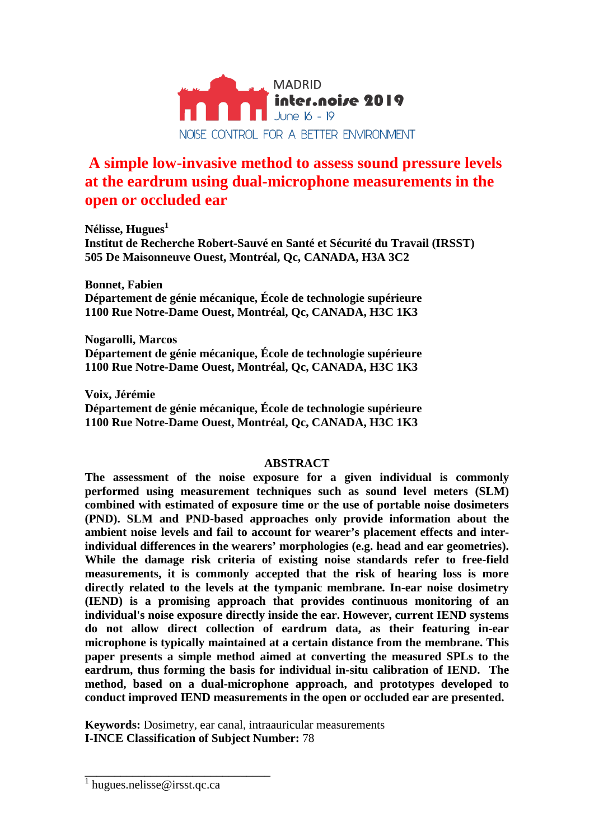

# **A simple low-invasive method to assess sound pressure levels at the eardrum using dual-microphone measurements in the open or occluded ear**

**Nélisse, Hugues<sup>1</sup> Institut de Recherche Robert-Sauvé en Santé et Sécurité du Travail (IRSST) 505 De Maisonneuve Ouest, Montréal, Qc, CANADA, H3A 3C2**

**Bonnet, Fabien Département de génie mécanique, École de technologie supérieure 1100 Rue Notre-Dame Ouest, Montréal, Qc, CANADA, H3C 1K3**

**Nogarolli, Marcos Département de génie mécanique, École de technologie supérieure 1100 Rue Notre-Dame Ouest, Montréal, Qc, CANADA, H3C 1K3**

**Voix, Jérémie Département de génie mécanique, École de technologie supérieure 1100 Rue Notre-Dame Ouest, Montréal, Qc, CANADA, H3C 1K3**

## **ABSTRACT**

**The assessment of the noise exposure for a given individual is commonly performed using measurement techniques such as sound level meters (SLM) combined with estimated of exposure time or the use of portable noise dosimeters (PND). SLM and PND-based approaches only provide information about the ambient noise levels and fail to account for wearer's placement effects and interindividual differences in the wearers' morphologies (e.g. head and ear geometries). While the damage risk criteria of existing noise standards refer to free-field measurements, it is commonly accepted that the risk of hearing loss is more directly related to the levels at the tympanic membrane. In-ear noise dosimetry (IEND) is a promising approach that provides continuous monitoring of an individual's noise exposure directly inside the ear. However, current IEND systems do not allow direct collection of eardrum data, as their featuring in-ear microphone is typically maintained at a certain distance from the membrane. This paper presents a simple method aimed at converting the measured SPLs to the eardrum, thus forming the basis for individual in-situ calibration of IEND. The method, based on a dual-microphone approach, and prototypes developed to conduct improved IEND measurements in the open or occluded ear are presented.**

**Keywords:** Dosimetry, ear canal, intraauricular measurements **I-INCE Classification of Subject Number:** 78

\_\_\_\_\_\_\_\_\_\_\_\_\_\_\_\_\_\_\_\_\_\_\_\_\_\_\_\_\_\_\_

<sup>&</sup>lt;sup>1</sup> hugues.nelisse@irsst.qc.ca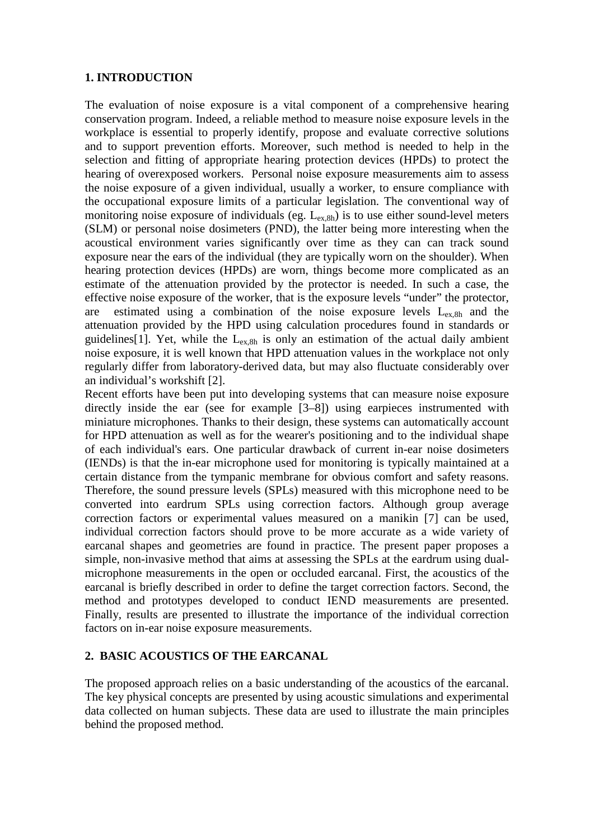## **1. INTRODUCTION**

The evaluation of noise exposure is a vital component of a comprehensive hearing conservation program. Indeed, a reliable method to measure noise exposure levels in the workplace is essential to properly identify, propose and evaluate corrective solutions and to support prevention efforts. Moreover, such method is needed to help in the selection and fitting of appropriate hearing protection devices (HPDs) to protect the hearing of overexposed workers. Personal noise exposure measurements aim to assess the noise exposure of a given individual, usually a worker, to ensure compliance with the occupational exposure limits of a particular legislation. The conventional way of monitoring noise exposure of individuals (eg.  $L_{ex,8h}$ ) is to use either sound-level meters (SLM) or personal noise dosimeters (PND), the latter being more interesting when the acoustical environment varies significantly over time as they can can track sound exposure near the ears of the individual (they are typically worn on the shoulder). When hearing protection devices (HPDs) are worn, things become more complicated as an estimate of the attenuation provided by the protector is needed. In such a case, the effective noise exposure of the worker, that is the exposure levels "under" the protector, are estimated using a combination of the noise exposure levels  $L_{ex,8h}$  and the attenuation provided by the HPD using calculation procedures found in standards or guidelines[1]. Yet, while the  $L_{ex,8h}$  is only an estimation of the actual daily ambient noise exposure, it is well known that HPD attenuation values in the workplace not only regularly differ from laboratory-derived data, but may also fluctuate considerably over an individual's workshift [2].

Recent efforts have been put into developing systems that can measure noise exposure directly inside the ear (see for example [3–8]) using earpieces instrumented with miniature microphones. Thanks to their design, these systems can automatically account for HPD attenuation as well as for the wearer's positioning and to the individual shape of each individual's ears. One particular drawback of current in-ear noise dosimeters (IENDs) is that the in-ear microphone used for monitoring is typically maintained at a certain distance from the tympanic membrane for obvious comfort and safety reasons. Therefore, the sound pressure levels (SPLs) measured with this microphone need to be converted into eardrum SPLs using correction factors. Although group average correction factors or experimental values measured on a manikin [7] can be used, individual correction factors should prove to be more accurate as a wide variety of earcanal shapes and geometries are found in practice. The present paper proposes a simple, non-invasive method that aims at assessing the SPLs at the eardrum using dualmicrophone measurements in the open or occluded earcanal. First, the acoustics of the earcanal is briefly described in order to define the target correction factors. Second, the method and prototypes developed to conduct IEND measurements are presented. Finally, results are presented to illustrate the importance of the individual correction factors on in-ear noise exposure measurements.

#### **2. BASIC ACOUSTICS OF THE EARCANAL**

The proposed approach relies on a basic understanding of the acoustics of the earcanal. The key physical concepts are presented by using acoustic simulations and experimental data collected on human subjects. These data are used to illustrate the main principles behind the proposed method.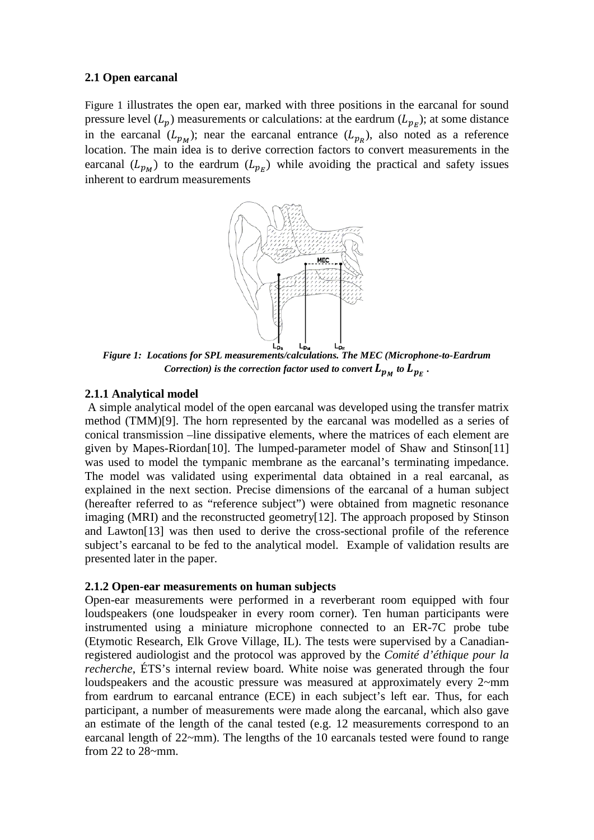#### **2.1 Open earcanal**

[Figure 1](#page-2-0) illustrates the open ear, marked with three positions in the earcanal for sound pressure level  $(L_p)$  measurements or calculations: at the eardrum  $(L_{p_F})$ ; at some distance in the earcanal  $(L_{p_M})$ ; near the earcanal entrance  $(L_{p_R})$ , also noted as a reference location. The main idea is to derive correction factors to convert measurements in the earcanal  $(L_{p_M})$  to the eardrum  $(L_{p_F})$  while avoiding the practical and safety issues inherent to eardrum measurements



<span id="page-2-0"></span>*Figure 1: Locations for SPL measurements/calculations. The MEC (Microphone-to-Eardrum Correction) is the correction factor used to convert*  $L_{p_M}$  to  $L_{p_F}$ .

## **2.1.1 Analytical model**

A simple analytical model of the open earcanal was developed using the transfer matrix method (TMM)[9]. The horn represented by the earcanal was modelled as a series of conical transmission –line dissipative elements, where the matrices of each element are given by Mapes-Riordan[10]. The lumped-parameter model of Shaw and Stinson[11] was used to model the tympanic membrane as the earcanal's terminating impedance. The model was validated using experimental data obtained in a real earcanal, as explained in the next section. Precise dimensions of the earcanal of a human subject (hereafter referred to as "reference subject") were obtained from magnetic resonance imaging (MRI) and the reconstructed geometry[12]. The approach proposed by Stinson and Lawton[13] was then used to derive the cross-sectional profile of the reference subject's earcanal to be fed to the analytical model. Example of validation results are presented later in the paper.

## **2.1.2 Open-ear measurements on human subjects**

Open-ear measurements were performed in a reverberant room equipped with four loudspeakers (one loudspeaker in every room corner). Ten human participants were instrumented using a miniature microphone connected to an ER-7C probe tube (Etymotic Research, Elk Grove Village, IL). The tests were supervised by a Canadianregistered audiologist and the protocol was approved by the *Comité d'éthique pour la recherche*, ÉTS's internal review board. White noise was generated through the four loudspeakers and the acoustic pressure was measured at approximately every 2~mm from eardrum to earcanal entrance (ECE) in each subject's left ear. Thus, for each participant, a number of measurements were made along the earcanal, which also gave an estimate of the length of the canal tested (e.g. 12 measurements correspond to an earcanal length of 22~mm). The lengths of the 10 earcanals tested were found to range from 22 to  $28 \sim$ mm.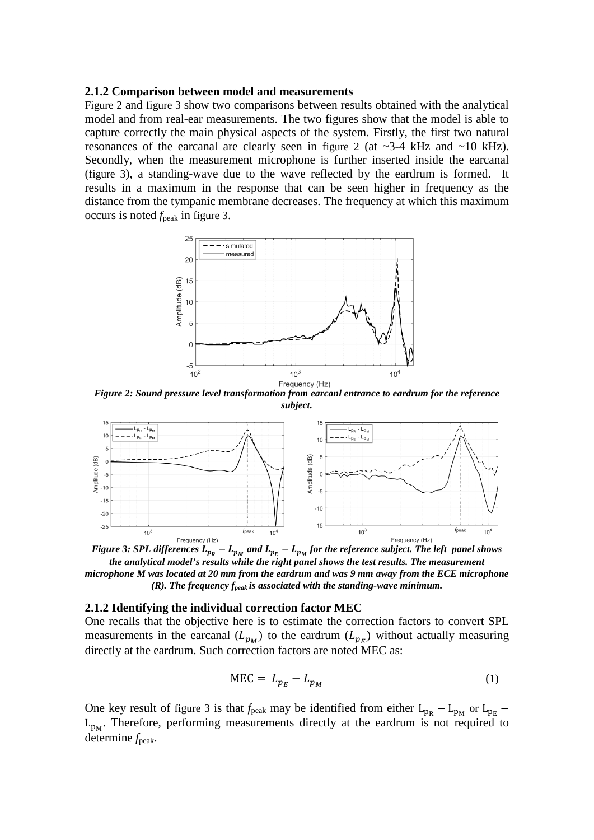#### **2.1.2 Comparison between model and measurements**

[Figure 2](#page-3-0) and [figure 3](#page-3-1) show two comparisons between results obtained with the analytical model and from real-ear measurements. The two figures show that the model is able to capture correctly the main physical aspects of the system. Firstly, the first two natural resonances of the earcanal are clearly seen in [figure 2](#page-3-0) (at ~3-4 kHz and ~10 kHz). Secondly, when the measurement microphone is further inserted inside the earcanal [\(figure 3\)](#page-3-1), a standing-wave due to the wave reflected by the eardrum is formed. It results in a maximum in the response that can be seen higher in frequency as the distance from the tympanic membrane decreases. The frequency at which this maximum occurs is noted *f*peak in [figure 3.](#page-3-1)



<span id="page-3-0"></span>*Figure 2: Sound pressure level transformation from earcanl entrance to eardrum for the reference subject.*



<span id="page-3-1"></span>*Figure 3: SPL differences*  $L_{p_R} - L_{p_M}$  and  $L_{p_F} - L_{p_M}$  for the reference subject. The left panel shows *the analytical model's results while the right panel shows the test results. The measurement microphone M was located at 20 mm from the eardrum and was 9 mm away from the ECE microphone (R). The frequency fpeak is associated with the standing-wave mínimum.* 

#### **2.1.2 Identifying the individual correction factor MEC**

One recalls that the objective here is to estimate the correction factors to convert SPL measurements in the earcanal  $(L_{p_M})$  to the eardrum  $(L_{p_F})$  without actually measuring directly at the eardrum. Such correction factors are noted MEC as:

$$
MEC = L_{p_E} - L_{p_M} \tag{1}
$$

One key result of [figure 3](#page-3-1) is that  $f_{\text{peak}}$  may be identified from either L<sub>pR</sub> – L<sub>pM</sub> or L<sub>pE</sub> –  $L_{p_M}$ . Therefore, performing measurements directly at the eardrum is not required to determine  $f_{\text{peak}}$ .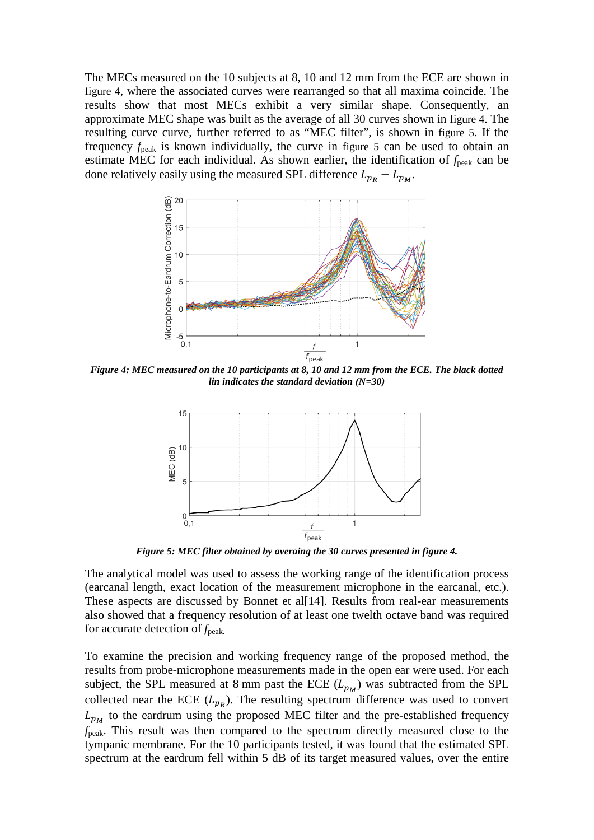The MECs measured on the 10 subjects at 8, 10 and 12 mm from the ECE are shown in [figure 4,](#page-4-0) where the associated curves were rearranged so that all maxima coincide. The results show that most MECs exhibit a very similar shape. Consequently, an approximate MEC shape was built as the average of all 30 curves shown in [figure 4.](#page-4-0) The resulting curve curve, further referred to as "MEC filter", is shown in [figure 5.](#page-4-1) If the frequency *f*peak is known individually, the curve in [figure 5](#page-4-1) can be used to obtain an estimate MEC for each individual. As shown earlier, the identification of  $f_{peak}$  can be done relatively easily using the measured SPL difference  $L_{p_R} - L_{p_M}$ .



<span id="page-4-0"></span>*Figure 4: MEC measured on the 10 participants at 8, 10 and 12 mm from the ECE. The black dotted lin indicates the standard deviation (N=30)*



*Figure 5: MEC filter obtained by averaing the 30 curves presented in [figure 4.](#page-4-0)*

<span id="page-4-1"></span>The analytical model was used to assess the working range of the identification process (earcanal length, exact location of the measurement microphone in the earcanal, etc.). These aspects are discussed by Bonnet et al[14]. Results from real-ear measurements also showed that a frequency resolution of at least one twelth octave band was required for accurate detection of  $f_{\text{peak}}$ .

To examine the precision and working frequency range of the proposed method, the results from probe-microphone measurements made in the open ear were used. For each subject, the SPL measured at 8 mm past the ECE  $(L_{p_M})$  was subtracted from the SPL collected near the ECE  $(L_{p,p})$ . The resulting spectrum difference was used to convert  $L_{p_M}$  to the eardrum using the proposed MEC filter and the pre-established frequency *f*peak. This result was then compared to the spectrum directly measured close to the tympanic membrane. For the 10 participants tested, it was found that the estimated SPL spectrum at the eardrum fell within 5 dB of its target measured values, over the entire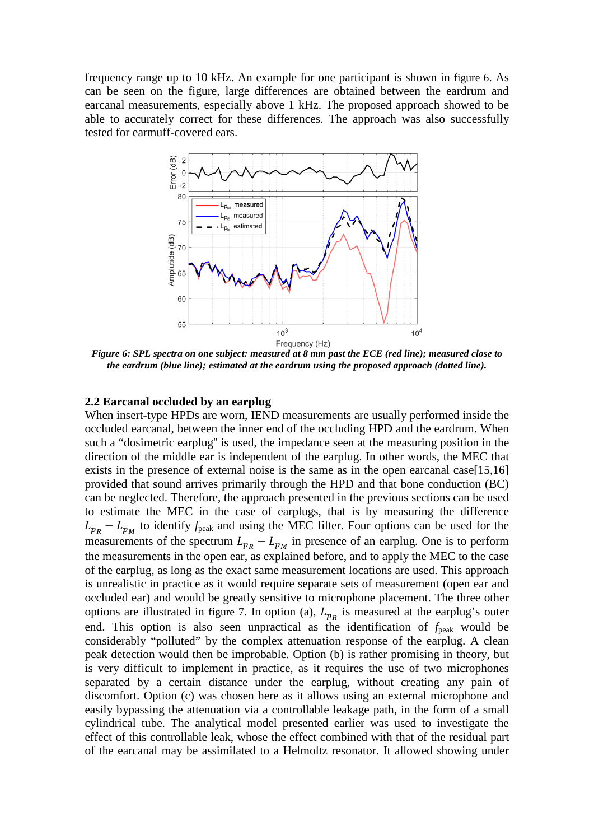frequency range up to 10 kHz. An example for one participant is shown in [figure 6.](#page-5-0) As can be seen on the figure, large differences are obtained between the eardrum and earcanal measurements, especially above 1 kHz. The proposed approach showed to be able to accurately correct for these differences. The approach was also successfully tested for earmuff-covered ears.



<span id="page-5-0"></span>*Figure 6: SPL spectra on one subject: measured at 8 mm past the ECE (red line); measured close to the eardrum (blue line); estimated at the eardrum using the proposed approach (dotted line).*

#### **2.2 Earcanal occluded by an earplug**

When insert-type HPDs are worn, IEND measurements are usually performed inside the occluded earcanal, between the inner end of the occluding HPD and the eardrum. When such a "dosimetric earplug'' is used, the impedance seen at the measuring position in the direction of the middle ear is independent of the earplug. In other words, the MEC that exists in the presence of external noise is the same as in the open earcanal case[15,16] provided that sound arrives primarily through the HPD and that bone conduction (BC) can be neglected. Therefore, the approach presented in the previous sections can be used to estimate the MEC in the case of earplugs, that is by measuring the difference  $L_{p_R} - L_{p_M}$  to identify  $f_{\text{peak}}$  and using the MEC filter. Four options can be used for the measurements of the spectrum  $L_{p_R} - L_{p_M}$  in presence of an earplug. One is to perform the measurements in the open ear, as explained before, and to apply the MEC to the case of the earplug, as long as the exact same measurement locations are used. This approach is unrealistic in practice as it would require separate sets of measurement (open ear and occluded ear) and would be greatly sensitive to microphone placement. The three other options are illustrated in [figure 7.](#page-6-0) In option (a),  $L_{p_R}$  is measured at the earplug's outer end. This option is also seen unpractical as the identification of  $f_{\text{peak}}$  would be considerably "polluted" by the complex attenuation response of the earplug. A clean peak detection would then be improbable. Option (b) is rather promising in theory, but is very difficult to implement in practice, as it requires the use of two microphones separated by a certain distance under the earplug, without creating any pain of discomfort. Option (c) was chosen here as it allows using an external microphone and easily bypassing the attenuation via a controllable leakage path, in the form of a small cylindrical tube. The analytical model presented earlier was used to investigate the effect of this controllable leak, whose the effect combined with that of the residual part of the earcanal may be assimilated to a Helmoltz resonator. It allowed showing under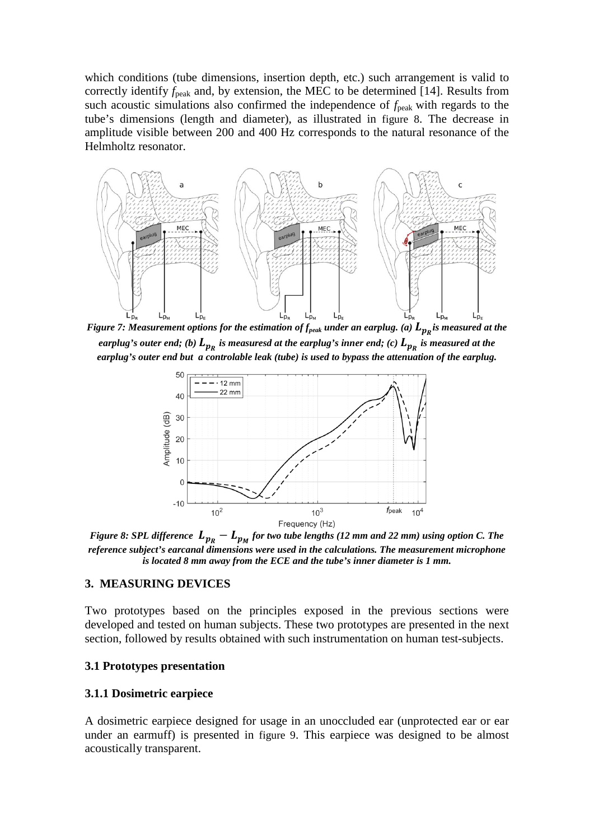which conditions (tube dimensions, insertion depth, etc.) such arrangement is valid to correctly identify  $f_{\text{peak}}$  and, by extension, the MEC to be determined [14]. Results from such acoustic simulations also confirmed the independence of  $f_{\text{peak}}$  with regards to the tube's dimensions (length and diameter), as illustrated in [figure 8.](#page-6-1) The decrease in amplitude visible between 200 and 400 Hz corresponds to the natural resonance of the Helmholtz resonator.



<span id="page-6-0"></span>*Figure 7: Measurement options for the estimation of*  $f_{peak}$  *<i>under an earplug. (a)*  $L_{p_R}$ *is measured at the earplug's outer end; (b)*  $L_{p_R}$  *is measuresd at the earplug's inner end; (c)*  $L_{p_R}$  *is measured at the earplug's outer end but a controlable leak (tube) is used to bypass the attenuation of the earplug.*



<span id="page-6-1"></span>*Figure 8: SPL difference*  $L_{p_R} - L_{p_M}$  *for two tube lengths* (12 *mm and 22 mm)* using option C. The *reference subject's earcanal dimensions were used in the calculations. The measurement microphone is located 8 mm away from the ECE and the tube's inner diameter is 1 mm.* 

## **3. MEASURING DEVICES**

Two prototypes based on the principles exposed in the previous sections were developed and tested on human subjects. These two prototypes are presented in the next section, followed by results obtained with such instrumentation on human test-subjects.

#### **3.1 Prototypes presentation**

#### **3.1.1 Dosimetric earpiece**

A dosimetric earpiece designed for usage in an unoccluded ear (unprotected ear or ear under an earmuff) is presented in [figure 9.](#page-7-0) This earpiece was designed to be almost acoustically transparent.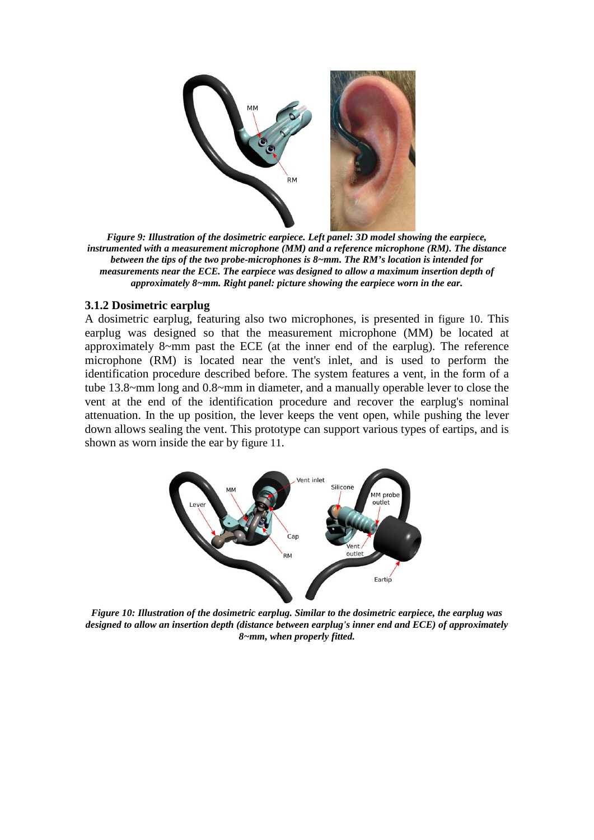

<span id="page-7-0"></span>*Figure 9: Illustration of the dosimetric earpiece. Left panel: 3D model showing the earpiece, instrumented with a measurement microphone (MM) and a reference microphone (RM). The distance between the tips of the two probe-microphones is 8~mm. The RM's location is intended for measurements near the ECE. The earpiece was designed to allow a maximum insertion depth of approximately 8~mm. Right panel: picture showing the earpiece worn in the ear.*

#### **3.1.2 Dosimetric earplug**

A dosimetric earplug, featuring also two microphones, is presented in [figure 10.](#page-7-1) This earplug was designed so that the measurement microphone (MM) be located at approximately 8~mm past the ECE (at the inner end of the earplug). The reference microphone (RM) is located near the vent's inlet, and is used to perform the identification procedure described before. The system features a vent, in the form of a tube 13.8~mm long and 0.8~mm in diameter, and a manually operable lever to close the vent at the end of the identification procedure and recover the earplug's nominal attenuation. In the up position, the lever keeps the vent open, while pushing the lever down allows sealing the vent. This prototype can support various types of eartips, and is shown as worn inside the ear by [figure 11.](#page-8-0)



<span id="page-7-1"></span>*Figure 10: Illustration of the dosimetric earplug. Similar to the dosimetric earpiece, the earplug was designed to allow an insertion depth (distance between earplug's inner end and ECE) of approximately 8~mm, when properly fitted.*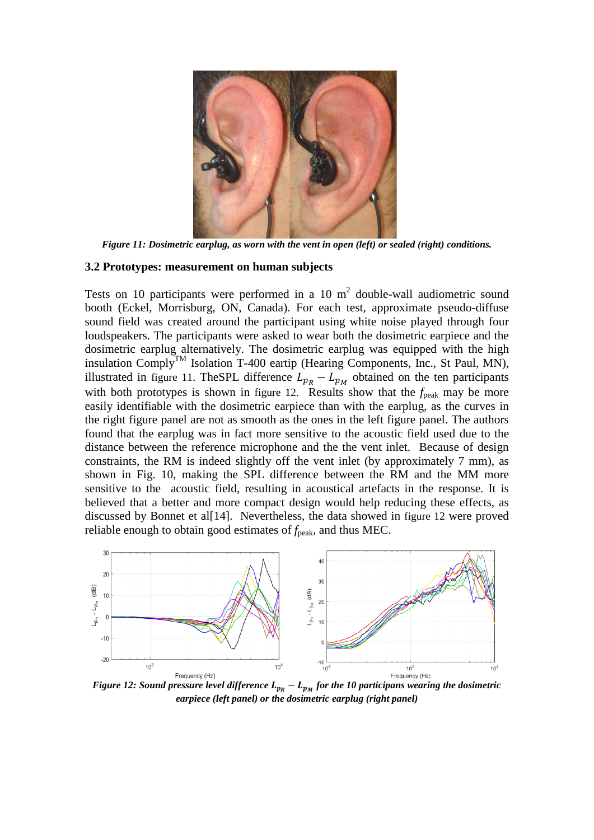

*Figure 11: Dosimetric earplug, as worn with the vent in open (left) or sealed (right) conditions.*

#### <span id="page-8-0"></span>**3.2 Prototypes: measurement on human subjects**

Tests on 10 participants were performed in a 10  $m<sup>2</sup>$  double-wall audiometric sound booth (Eckel, Morrisburg, ON, Canada). For each test, approximate pseudo-diffuse sound field was created around the participant using white noise played through four loudspeakers. The participants were asked to wear both the dosimetric earpiece and the dosimetric earplug alternatively. The dosimetric earplug was equipped with the high insulation Comply<sup>TM</sup> Isolation T-400 eartip (Hearing Components, Inc., St Paul, MN), illustrated in [figure 11.](#page-8-0) TheSPL difference  $L_{p_R} - L_{p_M}$  obtained on the ten participants with both prototypes is shown in [figure 12.](#page-8-1) Results show that the  $f_{\text{peak}}$  may be more easily identifiable with the dosimetric earpiece than with the earplug, as the curves in the right figure panel are not as smooth as the ones in the left figure panel. The authors found that the earplug was in fact more sensitive to the acoustic field used due to the distance between the reference microphone and the the vent inlet. Because of design constraints, the RM is indeed slightly off the vent inlet (by approximately 7 mm), as shown in Fig. 10, making the SPL difference between the RM and the MM more sensitive to the acoustic field, resulting in acoustical artefacts in the response. It is believed that a better and more compact design would help reducing these effects, as discussed by Bonnet et al[14]. Nevertheless, the data showed in [figure 12](#page-8-1) were proved reliable enough to obtain good estimates of  $f_{\text{peak}}$ , and thus MEC.



<span id="page-8-1"></span>*Figure 12: Sound pressure level difference*  $L_{p_R} - L_{p_M}$  *for the 10 participans wearing the dosimetric earpiece (left panel) or the dosimetric earplug (right panel)*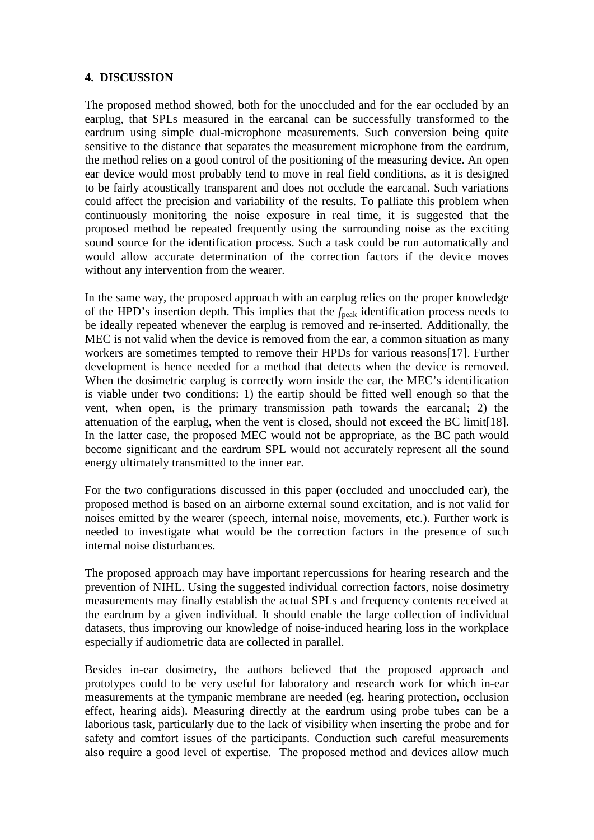## **4. DISCUSSION**

The proposed method showed, both for the unoccluded and for the ear occluded by an earplug, that SPLs measured in the earcanal can be successfully transformed to the eardrum using simple dual-microphone measurements. Such conversion being quite sensitive to the distance that separates the measurement microphone from the eardrum, the method relies on a good control of the positioning of the measuring device. An open ear device would most probably tend to move in real field conditions, as it is designed to be fairly acoustically transparent and does not occlude the earcanal. Such variations could affect the precision and variability of the results. To palliate this problem when continuously monitoring the noise exposure in real time, it is suggested that the proposed method be repeated frequently using the surrounding noise as the exciting sound source for the identification process. Such a task could be run automatically and would allow accurate determination of the correction factors if the device moves without any intervention from the wearer.

In the same way, the proposed approach with an earplug relies on the proper knowledge of the HPD's insertion depth. This implies that the *f*peak identification process needs to be ideally repeated whenever the earplug is removed and re-inserted. Additionally, the MEC is not valid when the device is removed from the ear, a common situation as many workers are sometimes tempted to remove their HPDs for various reasons[17]. Further development is hence needed for a method that detects when the device is removed. When the dosimetric earplug is correctly worn inside the ear, the MEC's identification is viable under two conditions: 1) the eartip should be fitted well enough so that the vent, when open, is the primary transmission path towards the earcanal; 2) the attenuation of the earplug, when the vent is closed, should not exceed the BC limit[18]. In the latter case, the proposed MEC would not be appropriate, as the BC path would become significant and the eardrum SPL would not accurately represent all the sound energy ultimately transmitted to the inner ear.

For the two configurations discussed in this paper (occluded and unoccluded ear), the proposed method is based on an airborne external sound excitation, and is not valid for noises emitted by the wearer (speech, internal noise, movements, etc.). Further work is needed to investigate what would be the correction factors in the presence of such internal noise disturbances.

The proposed approach may have important repercussions for hearing research and the prevention of NIHL. Using the suggested individual correction factors, noise dosimetry measurements may finally establish the actual SPLs and frequency contents received at the eardrum by a given individual. It should enable the large collection of individual datasets, thus improving our knowledge of noise-induced hearing loss in the workplace especially if audiometric data are collected in parallel.

Besides in-ear dosimetry, the authors believed that the proposed approach and prototypes could to be very useful for laboratory and research work for which in-ear measurements at the tympanic membrane are needed (eg. hearing protection, occlusion effect, hearing aids). Measuring directly at the eardrum using probe tubes can be a laborious task, particularly due to the lack of visibility when inserting the probe and for safety and comfort issues of the participants. Conduction such careful measurements also require a good level of expertise. The proposed method and devices allow much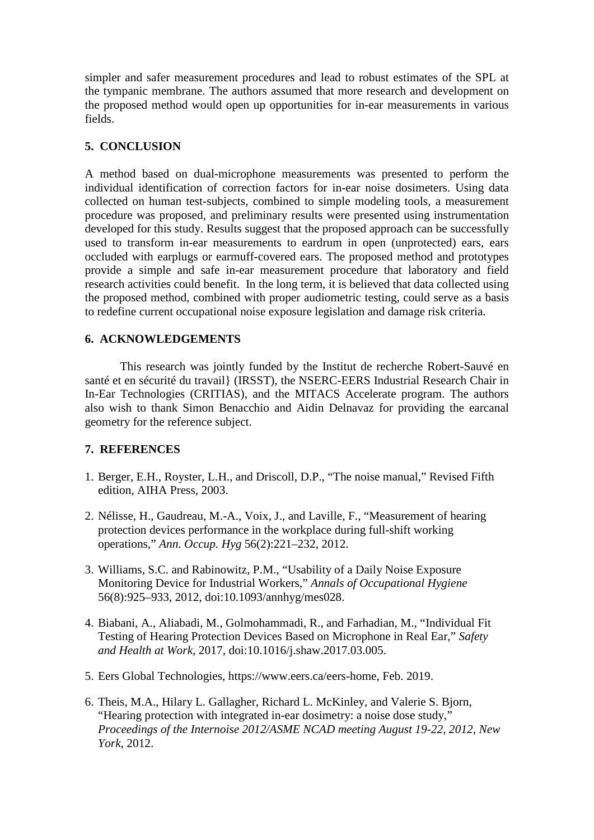simpler and safer measurement procedures and lead to robust estimates of the SPL at the tympanic membrane. The authors assumed that more research and development on the proposed method would open up opportunities for in-ear measurements in various fields.

## **5. CONCLUSION**

A method based on dual-microphone measurements was presented to perform the individual identification of correction factors for in-ear noise dosimeters. Using data collected on human test-subjects, combined to simple modeling tools, a measurement procedure was proposed, and preliminary results were presented using instrumentation developed for this study. Results suggest that the proposed approach can be successfully used to transform in-ear measurements to eardrum in open (unprotected) ears, ears occluded with earplugs or earmuff-covered ears. The proposed method and prototypes provide a simple and safe in-ear measurement procedure that laboratory and field research activities could benefit. In the long term, it is believed that data collected using the proposed method, combined with proper audiometric testing, could serve as a basis to redefine current occupational noise exposure legislation and damage risk criteria.

## **6. ACKNOWLEDGEMENTS**

This research was jointly funded by the Institut de recherche Robert-Sauvé en santé et en sécurité du travail} (IRSST), the NSERC-EERS Industrial Research Chair in In-Ear Technologies (CRITIAS), and the MITACS Accelerate program. The authors also wish to thank Simon Benacchio and Aidin Delnavaz for providing the earcanal geometry for the reference subject.

## **7. REFERENCES**

- 1. Berger, E.H., Royster, L.H., and Driscoll, D.P., "The noise manual," Revised Fifth edition, AIHA Press, 2003.
- 2. Nélisse, H., Gaudreau, M.-A., Voix, J., and Laville, F., "Measurement of hearing protection devices performance in the workplace during full-shift working operations," *Ann. Occup. Hyg* 56(2):221–232, 2012.
- 3. Williams, S.C. and Rabinowitz, P.M., "Usability of a Daily Noise Exposure Monitoring Device for Industrial Workers," *Annals of Occupational Hygiene* 56(8):925–933, 2012, doi:10.1093/annhyg/mes028.
- 4. Biabani, A., Aliabadi, M., Golmohammadi, R., and Farhadian, M., "Individual Fit Testing of Hearing Protection Devices Based on Microphone in Real Ear," *Safety and Health at Work*, 2017, doi:10.1016/j.shaw.2017.03.005.
- 5. Eers Global Technologies, https://www.eers.ca/eers-home, Feb. 2019.
- 6. Theis, M.A., Hilary L. Gallagher, Richard L. McKinley, and Valerie S. Bjorn, "Hearing protection with integrated in-ear dosimetry: a noise dose study," *Proceedings of the Internoise 2012/ASME NCAD meeting August 19-22, 2012, New York*, 2012.